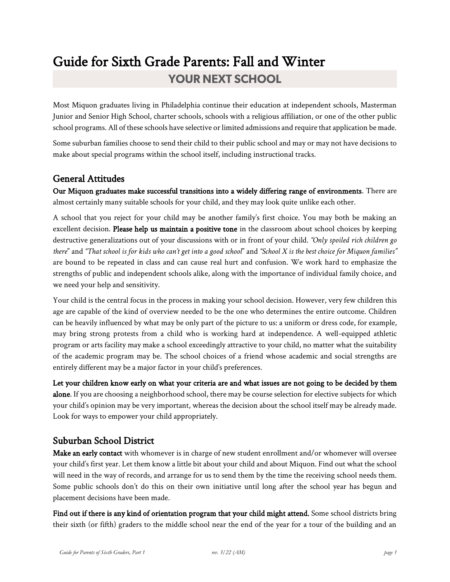# Guide for Sixth Grade Parents: Fall and Winter **YOUR NEXT SCHOOL**

Most Miquon graduates living in Philadelphia continue their education at independent schools, Masterman Junior and Senior High School, charter schools, schools with a religious affiliation, or one of the other public school programs. All of these schools have selective or limited admissions and require that application be made.

Some suburban families choose to send their child to their public school and may or may not have decisions to make about special programs within the school itself, including instructional tracks.

## General Attitudes

Our Miquon graduates make successful transitions into a widely differing range of environments. There are almost certainly many suitable schools for your child, and they may look quite unlike each other.

A school that you reject for your child may be another family's first choice. You may both be making an excellent decision. Please help us maintain a positive tone in the classroom about school choices by keeping destructive generalizations out of your discussions with or in front of your child. *"Only spoiled rich children go there*" and *"That school is for kids who can't get into a good school*" and *"School X is the best choice for Miquon families"* are bound to be repeated in class and can cause real hurt and confusion. We work hard to emphasize the strengths of public and independent schools alike, along with the importance of individual family choice, and we need your help and sensitivity.

Your child is the central focus in the process in making your school decision. However, very few children this age are capable of the kind of overview needed to be the one who determines the entire outcome. Children can be heavily influenced by what may be only part of the picture to us: a uniform or dress code, for example, may bring strong protests from a child who is working hard at independence. A well-equipped athletic program or arts facility may make a school exceedingly attractive to your child, no matter what the suitability of the academic program may be. The school choices of a friend whose academic and social strengths are entirely different may be a major factor in your child's preferences.

Let your children know early on what your criteria are and what issues are not going to be decided by them alone. If you are choosing a neighborhood school, there may be course selection for elective subjects for which your child's opinion may be very important, whereas the decision about the school itself may be already made. Look for ways to empower your child appropriately.

### Suburban School District

Make an early contact with whomever is in charge of new student enrollment and/or whomever will oversee your child's first year. Let them know a little bit about your child and about Miquon. Find out what the school will need in the way of records, and arrange for us to send them by the time the receiving school needs them. Some public schools don't do this on their own initiative until long after the school year has begun and placement decisions have been made.

Find out if there is any kind of orientation program that your child might attend. Some school districts bring their sixth (or fifth) graders to the middle school near the end of the year for a tour of the building and an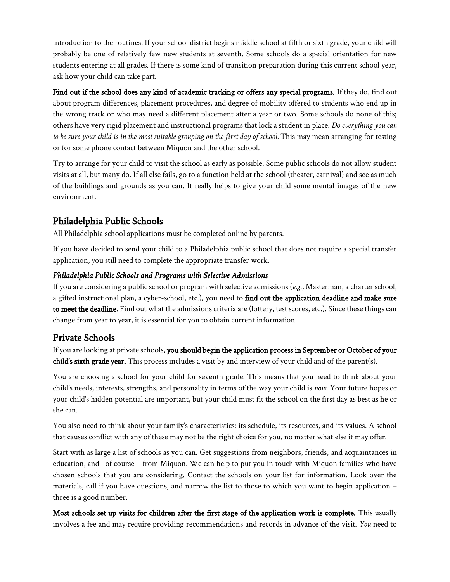introduction to the routines. If your school district begins middle school at fifth or sixth grade, your child will probably be one of relatively few new students at seventh. Some schools do a special orientation for new students entering at all grades. If there is some kind of transition preparation during this current school year, ask how your child can take part.

Find out if the school does any kind of academic tracking or offers any special programs. If they do, find out about program differences, placement procedures, and degree of mobility offered to students who end up in the wrong track or who may need a different placement after a year or two. Some schools do none of this; others have very rigid placement and instructional programs that lock a student in place. *Do everything you can to be sure your child is in the most suitable grouping on the first day of school.* This may mean arranging for testing or for some phone contact between Miquon and the other school.

Try to arrange for your child to visit the school as early as possible. Some public schools do not allow student visits at all, but many do. If all else fails, go to a function held at the school (theater, carnival) and see as much of the buildings and grounds as you can. It really helps to give your child some mental images of the new environment.

## Philadelphia Public Schools

All Philadelphia school applications must be completed online by parents.

If you have decided to send your child to a Philadelphia public school that does not require a special transfer application, you still need to complete the appropriate transfer work.

#### *Philadelphia Public Schools and Programs with Selective Admissions*

If you are considering a public school or program with selective admissions (*e.g*., Masterman, a charter school, a gifted instructional plan, a cyber-school, etc.), you need to find out the application deadline and make sure to meet the deadline. Find out what the admissions criteria are (lottery, test scores, etc.). Since these things can change from year to year, it is essential for you to obtain current information.

## Private Schools

If you are looking at private schools, you should begin the application process in September or October of your child's sixth grade year. This process includes a visit by and interview of your child and of the parent(s).

You are choosing a school for your child for seventh grade. This means that you need to think about your child's needs, interests, strengths, and personality in terms of the way your child is *now*. Your future hopes or your child's hidden potential are important, but your child must fit the school on the first day as best as he or she can.

You also need to think about your family's characteristics: its schedule, its resources, and its values. A school that causes conflict with any of these may not be the right choice for you, no matter what else it may offer.

Start with as large a list of schools as you can. Get suggestions from neighbors, friends, and acquaintances in education, and—of course —from Miquon. We can help to put you in touch with Miquon families who have chosen schools that you are considering. Contact the schools on your list for information. Look over the materials, call if you have questions, and narrow the list to those to which you want to begin application – three is a good number.

Most schools set up visits for children after the first stage of the application work is complete. This usually involves a fee and may require providing recommendations and records in advance of the visit. *You* need to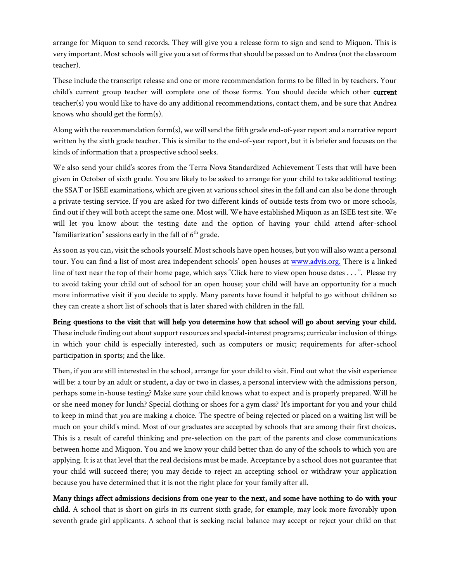arrange for Miquon to send records. They will give you a release form to sign and send to Miquon. This is very important. Most schools will give you a set of forms that should be passed on to Andrea (not the classroom teacher).

These include the transcript release and one or more recommendation forms to be filled in by teachers. Your child's current group teacher will complete one of those forms. You should decide which other current teacher(s) you would like to have do any additional recommendations, contact them, and be sure that Andrea knows who should get the form(s).

Along with the recommendation form(s), we will send the fifth grade end-of-year report and a narrative report written by the sixth grade teacher. This is similar to the end-of-year report, but it is briefer and focuses on the kinds of information that a prospective school seeks.

We also send your child's scores from the Terra Nova Standardized Achievement Tests that will have been given in October of sixth grade. You are likely to be asked to arrange for your child to take additional testing: the SSAT or ISEE examinations, which are given at various school sites in the fall and can also be done through a private testing service. If you are asked for two different kinds of outside tests from two or more schools, find out if they will both accept the same one. Most will. We have established Miquon as an ISEE test site. We will let you know about the testing date and the option of having your child attend after-school "familiarization" sessions early in the fall of  $6<sup>th</sup>$  grade.

As soon as you can, visit the schools yourself. Most schools have open houses, but you will also want a personal tour. You can find a list of most area independent schools' open houses at [www.advis.org.](http://www.advis.org./) There is a linked line of text near the top of their home page, which says "Click here to view open house dates . . . ". Please try to avoid taking your child out of school for an open house; your child will have an opportunity for a much more informative visit if you decide to apply. Many parents have found it helpful to go without children so they can create a short list of schools that is later shared with children in the fall.

#### Bring questions to the visit that will help you determine how that school will go about serving your child.

These include finding out about support resources and special-interest programs; curricular inclusion of things in which your child is especially interested, such as computers or music; requirements for after-school participation in sports; and the like.

Then, if you are still interested in the school, arrange for your child to visit. Find out what the visit experience will be: a tour by an adult or student, a day or two in classes, a personal interview with the admissions person, perhaps some in-house testing? Make sure your child knows what to expect and is properly prepared. Will he or she need money for lunch? Special clothing or shoes for a gym class? It's important for you and your child to keep in mind that *you* are making a choice. The spectre of being rejected or placed on a waiting list will be much on your child's mind. Most of our graduates are accepted by schools that are among their first choices. This is a result of careful thinking and pre-selection on the part of the parents and close communications between home and Miquon. You and we know your child better than do any of the schools to which you are applying. It is at that level that the real decisions must be made. Acceptance by a school does not guarantee that your child will succeed there; you may decide to reject an accepting school or withdraw your application because you have determined that it is not the right place for your family after all.

Many things affect admissions decisions from one year to the next, and some have nothing to do with your child. A school that is short on girls in its current sixth grade, for example, may look more favorably upon seventh grade girl applicants. A school that is seeking racial balance may accept or reject your child on that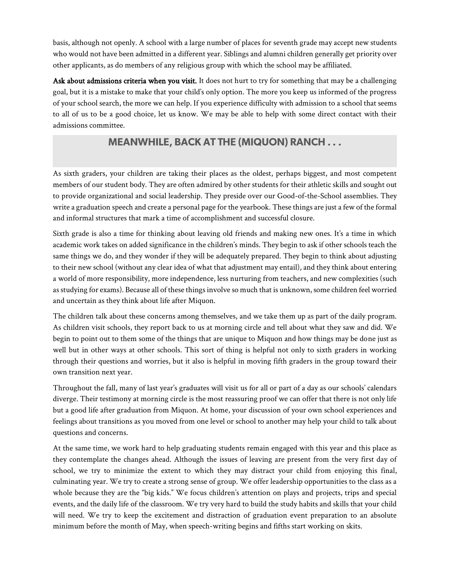basis, although not openly. A school with a large number of places for seventh grade may accept new students who would not have been admitted in a different year. Siblings and alumni children generally get priority over other applicants, as do members of any religious group with which the school may be affiliated.

Ask about admissions criteria when you visit. It does not hurt to try for something that may be a challenging goal, but it is a mistake to make that your child's only option. The more you keep us informed of the progress of your school search, the more we can help. If you experience difficulty with admission to a school that seems to all of us to be a good choice, let us know. We may be able to help with some direct contact with their admissions committee.

## **MEANWHILE, BACK AT THE (MIQUON) RANCH...**

As sixth graders, your children are taking their places as the oldest, perhaps biggest, and most competent members of our student body. They are often admired by other students for their athletic skills and sought out to provide organizational and social leadership. They preside over our Good-of-the-School assemblies. They write a graduation speech and create a personal page for the yearbook. These things are just a few of the formal and informal structures that mark a time of accomplishment and successful closure.

Sixth grade is also a time for thinking about leaving old friends and making new ones. It's a time in which academic work takes on added significance in the children's minds. They begin to ask if other schools teach the same things we do, and they wonder if they will be adequately prepared. They begin to think about adjusting to their new school (without any clear idea of what that adjustment may entail), and they think about entering a world of more responsibility, more independence, less nurturing from teachers, and new complexities (such as studying for exams). Because all of these things involve so much that is unknown, some children feel worried and uncertain as they think about life after Miquon.

The children talk about these concerns among themselves, and we take them up as part of the daily program. As children visit schools, they report back to us at morning circle and tell about what they saw and did. We begin to point out to them some of the things that are unique to Miquon and how things may be done just as well but in other ways at other schools. This sort of thing is helpful not only to sixth graders in working through their questions and worries, but it also is helpful in moving fifth graders in the group toward their own transition next year.

Throughout the fall, many of last year's graduates will visit us for all or part of a day as our schools' calendars diverge. Their testimony at morning circle is the most reassuring proof we can offer that there is not only life but a good life after graduation from Miquon. At home, your discussion of your own school experiences and feelings about transitions as you moved from one level or school to another may help your child to talk about questions and concerns.

At the same time, we work hard to help graduating students remain engaged with this year and this place as they contemplate the changes ahead. Although the issues of leaving are present from the very first day of school, we try to minimize the extent to which they may distract your child from enjoying this final, culminating year. We try to create a strong sense of group. We offer leadership opportunities to the class as a whole because they are the "big kids." We focus children's attention on plays and projects, trips and special events, and the daily life of the classroom. We try very hard to build the study habits and skills that your child will need. We try to keep the excitement and distraction of graduation event preparation to an absolute minimum before the month of May, when speech-writing begins and fifths start working on skits.